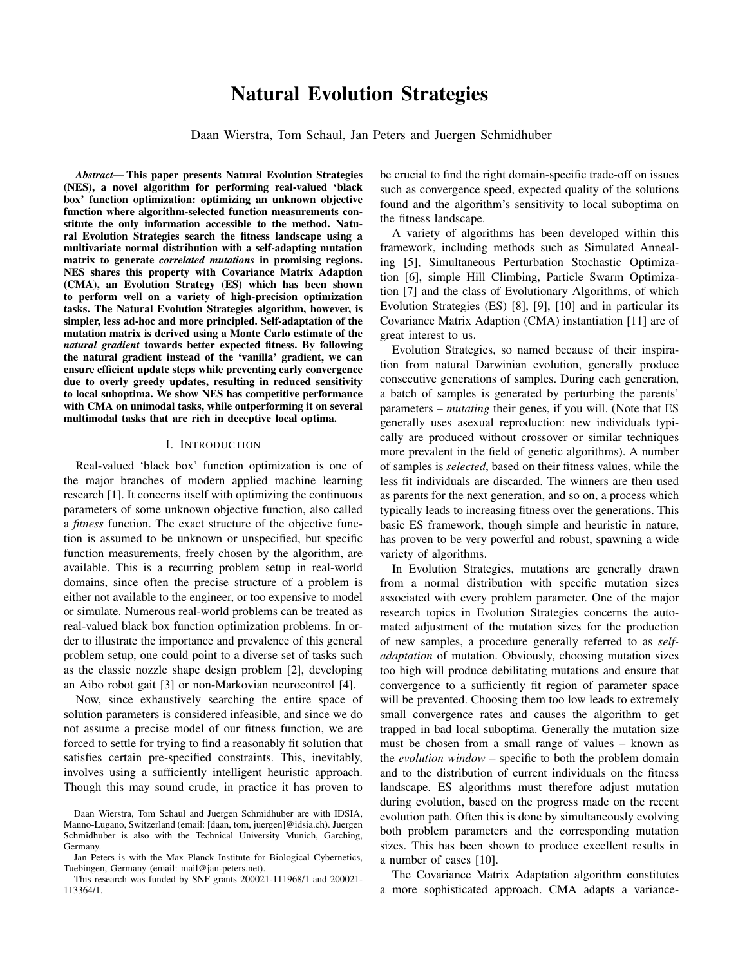# Natural Evolution Strategies

Daan Wierstra, Tom Schaul, Jan Peters and Juergen Schmidhuber

*Abstract*— This paper presents Natural Evolution Strategies (NES), a novel algorithm for performing real-valued 'black box' function optimization: optimizing an unknown objective function where algorithm-selected function measurements constitute the only information accessible to the method. Natural Evolution Strategies search the fitness landscape using a multivariate normal distribution with a self-adapting mutation matrix to generate *correlated mutations* in promising regions. NES shares this property with Covariance Matrix Adaption (CMA), an Evolution Strategy (ES) which has been shown to perform well on a variety of high-precision optimization tasks. The Natural Evolution Strategies algorithm, however, is simpler, less ad-hoc and more principled. Self-adaptation of the mutation matrix is derived using a Monte Carlo estimate of the *natural gradient* towards better expected fitness. By following the natural gradient instead of the 'vanilla' gradient, we can ensure efficient update steps while preventing early convergence due to overly greedy updates, resulting in reduced sensitivity to local suboptima. We show NES has competitive performance with CMA on unimodal tasks, while outperforming it on several multimodal tasks that are rich in deceptive local optima.

## I. INTRODUCTION

Real-valued 'black box' function optimization is one of the major branches of modern applied machine learning research [1]. It concerns itself with optimizing the continuous parameters of some unknown objective function, also called a *fitness* function. The exact structure of the objective function is assumed to be unknown or unspecified, but specific function measurements, freely chosen by the algorithm, are available. This is a recurring problem setup in real-world domains, since often the precise structure of a problem is either not available to the engineer, or too expensive to model or simulate. Numerous real-world problems can be treated as real-valued black box function optimization problems. In order to illustrate the importance and prevalence of this general problem setup, one could point to a diverse set of tasks such as the classic nozzle shape design problem [2], developing an Aibo robot gait [3] or non-Markovian neurocontrol [4].

Now, since exhaustively searching the entire space of solution parameters is considered infeasible, and since we do not assume a precise model of our fitness function, we are forced to settle for trying to find a reasonably fit solution that satisfies certain pre-specified constraints. This, inevitably, involves using a sufficiently intelligent heuristic approach. Though this may sound crude, in practice it has proven to

be crucial to find the right domain-specific trade-off on issues such as convergence speed, expected quality of the solutions found and the algorithm's sensitivity to local suboptima on the fitness landscape.

A variety of algorithms has been developed within this framework, including methods such as Simulated Annealing [5], Simultaneous Perturbation Stochastic Optimization [6], simple Hill Climbing, Particle Swarm Optimization [7] and the class of Evolutionary Algorithms, of which Evolution Strategies (ES) [8], [9], [10] and in particular its Covariance Matrix Adaption (CMA) instantiation [11] are of great interest to us.

Evolution Strategies, so named because of their inspiration from natural Darwinian evolution, generally produce consecutive generations of samples. During each generation, a batch of samples is generated by perturbing the parents' parameters – *mutating* their genes, if you will. (Note that ES generally uses asexual reproduction: new individuals typically are produced without crossover or similar techniques more prevalent in the field of genetic algorithms). A number of samples is *selected*, based on their fitness values, while the less fit individuals are discarded. The winners are then used as parents for the next generation, and so on, a process which typically leads to increasing fitness over the generations. This basic ES framework, though simple and heuristic in nature, has proven to be very powerful and robust, spawning a wide variety of algorithms.

In Evolution Strategies, mutations are generally drawn from a normal distribution with specific mutation sizes associated with every problem parameter. One of the major research topics in Evolution Strategies concerns the automated adjustment of the mutation sizes for the production of new samples, a procedure generally referred to as *selfadaptation* of mutation. Obviously, choosing mutation sizes too high will produce debilitating mutations and ensure that convergence to a sufficiently fit region of parameter space will be prevented. Choosing them too low leads to extremely small convergence rates and causes the algorithm to get trapped in bad local suboptima. Generally the mutation size must be chosen from a small range of values – known as the *evolution window* – specific to both the problem domain and to the distribution of current individuals on the fitness landscape. ES algorithms must therefore adjust mutation during evolution, based on the progress made on the recent evolution path. Often this is done by simultaneously evolving both problem parameters and the corresponding mutation sizes. This has been shown to produce excellent results in a number of cases [10].

The Covariance Matrix Adaptation algorithm constitutes a more sophisticated approach. CMA adapts a variance-

Daan Wierstra, Tom Schaul and Juergen Schmidhuber are with IDSIA, Manno-Lugano, Switzerland (email: [daan, tom, juergen]@idsia.ch). Juergen Schmidhuber is also with the Technical University Munich, Garching, Germany.

Jan Peters is with the Max Planck Institute for Biological Cybernetics, Tuebingen, Germany (email: mail@jan-peters.net).

This research was funded by SNF grants 200021-111968/1 and 200021- 113364/1.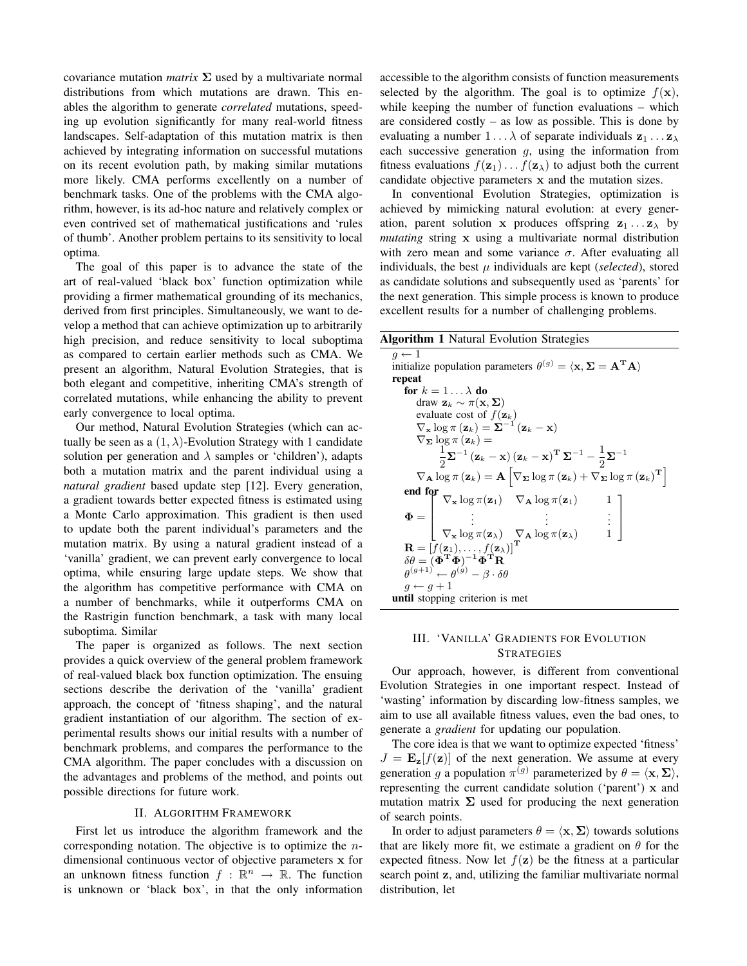covariance mutation *matrix*  $\Sigma$  used by a multivariate normal distributions from which mutations are drawn. This enables the algorithm to generate *correlated* mutations, speeding up evolution significantly for many real-world fitness landscapes. Self-adaptation of this mutation matrix is then achieved by integrating information on successful mutations on its recent evolution path, by making similar mutations more likely. CMA performs excellently on a number of benchmark tasks. One of the problems with the CMA algorithm, however, is its ad-hoc nature and relatively complex or even contrived set of mathematical justifications and 'rules of thumb'. Another problem pertains to its sensitivity to local optima.

The goal of this paper is to advance the state of the art of real-valued 'black box' function optimization while providing a firmer mathematical grounding of its mechanics, derived from first principles. Simultaneously, we want to develop a method that can achieve optimization up to arbitrarily high precision, and reduce sensitivity to local suboptima as compared to certain earlier methods such as CMA. We present an algorithm, Natural Evolution Strategies, that is both elegant and competitive, inheriting CMA's strength of correlated mutations, while enhancing the ability to prevent early convergence to local optima.

Our method, Natural Evolution Strategies (which can actually be seen as a  $(1, \lambda)$ -Evolution Strategy with 1 candidate solution per generation and  $\lambda$  samples or 'children'), adapts both a mutation matrix and the parent individual using a *natural gradient* based update step [12]. Every generation, a gradient towards better expected fitness is estimated using a Monte Carlo approximation. This gradient is then used to update both the parent individual's parameters and the mutation matrix. By using a natural gradient instead of a 'vanilla' gradient, we can prevent early convergence to local optima, while ensuring large update steps. We show that the algorithm has competitive performance with CMA on a number of benchmarks, while it outperforms CMA on the Rastrigin function benchmark, a task with many local suboptima. Similar

The paper is organized as follows. The next section provides a quick overview of the general problem framework of real-valued black box function optimization. The ensuing sections describe the derivation of the 'vanilla' gradient approach, the concept of 'fitness shaping', and the natural gradient instantiation of our algorithm. The section of experimental results shows our initial results with a number of benchmark problems, and compares the performance to the CMA algorithm. The paper concludes with a discussion on the advantages and problems of the method, and points out possible directions for future work.

## II. ALGORITHM FRAMEWORK

First let us introduce the algorithm framework and the corresponding notation. The objective is to optimize the ndimensional continuous vector of objective parameters x for an unknown fitness function  $f : \mathbb{R}^n \to \mathbb{R}$ . The function is unknown or 'black box', in that the only information

accessible to the algorithm consists of function measurements selected by the algorithm. The goal is to optimize  $f(\mathbf{x})$ , while keeping the number of function evaluations – which are considered costly – as low as possible. This is done by evaluating a number  $1 \dots \lambda$  of separate individuals  $z_1 \dots z_\lambda$ each successive generation  $q$ , using the information from fitness evaluations  $f(\mathbf{z}_1) \dots f(\mathbf{z}_\lambda)$  to adjust both the current candidate objective parameters x and the mutation sizes.

In conventional Evolution Strategies, optimization is achieved by mimicking natural evolution: at every generation, parent solution x produces offspring  $z_1 \ldots z_\lambda$  by *mutating* string x using a multivariate normal distribution with zero mean and some variance  $\sigma$ . After evaluating all individuals, the best  $\mu$  individuals are kept *(selected)*, stored as candidate solutions and subsequently used as 'parents' for the next generation. This simple process is known to produce excellent results for a number of challenging problems.

| <b>Algorithm 1</b> Natural Evolution Strategies                                                                                                                                                                                                                                                                                           |  |  |  |  |  |  |
|-------------------------------------------------------------------------------------------------------------------------------------------------------------------------------------------------------------------------------------------------------------------------------------------------------------------------------------------|--|--|--|--|--|--|
| $q \leftarrow 1$                                                                                                                                                                                                                                                                                                                          |  |  |  |  |  |  |
| initialize population parameters $\theta^{(g)} = \langle \mathbf{x}, \boldsymbol{\Sigma} = \mathbf{A}^{\mathbf{T}} \mathbf{A} \rangle$                                                                                                                                                                                                    |  |  |  |  |  |  |
| repeat                                                                                                                                                                                                                                                                                                                                    |  |  |  |  |  |  |
| for $k = 1 \ldots \lambda$ do                                                                                                                                                                                                                                                                                                             |  |  |  |  |  |  |
| draw $\mathbf{z}_k \sim \pi(\mathbf{x}, \Sigma)$                                                                                                                                                                                                                                                                                          |  |  |  |  |  |  |
| evaluate cost of $f(\mathbf{z}_k)$<br>$\nabla_{\mathbf{x}} \log \pi (\mathbf{z}_k) = \mathbf{\Sigma}^{-1} (\mathbf{z}_k - \mathbf{x})$                                                                                                                                                                                                    |  |  |  |  |  |  |
|                                                                                                                                                                                                                                                                                                                                           |  |  |  |  |  |  |
| $\nabla_{\Sigma} \log \pi(\mathbf{z}_k) =$                                                                                                                                                                                                                                                                                                |  |  |  |  |  |  |
| $\frac{1}{2}\sum_{\mathbf{\Sigma}} \mathbf{1}^{-1} (\mathbf{z}_k - \mathbf{x}) (\mathbf{z}_k - \mathbf{x})^{\mathbf{T}} \Sigma^{-1} - \frac{1}{2}\Sigma^{-1}$<br>$\nabla_{\mathbf{A}} \log \pi (\mathbf{z}_k) = \mathbf{A} \left[ \nabla_{\Sigma} \log \pi (\mathbf{z}_k) + \nabla_{\Sigma} \log \pi (\mathbf{z}_k)^{\mathbf{T}} \right]$ |  |  |  |  |  |  |
|                                                                                                                                                                                                                                                                                                                                           |  |  |  |  |  |  |
| end for                                                                                                                                                                                                                                                                                                                                   |  |  |  |  |  |  |
|                                                                                                                                                                                                                                                                                                                                           |  |  |  |  |  |  |
|                                                                                                                                                                                                                                                                                                                                           |  |  |  |  |  |  |
| end for<br>$\Phi = \begin{bmatrix} \nabla_{\mathbf{x}} \log \pi(\mathbf{z}_1) & \nabla_{\mathbf{A}} \log \pi(\mathbf{z}_1) & 1 \\ \n\vdots & \vdots & \vdots \\ \nabla_{\mathbf{x}} \log \pi(\mathbf{z}_\lambda) & \nabla_{\mathbf{A}} \log \pi(\mathbf{z}_\lambda) & 1 \end{bmatrix}$                                                    |  |  |  |  |  |  |
|                                                                                                                                                                                                                                                                                                                                           |  |  |  |  |  |  |
| $\mathbf{R} = [\overline{f}(\mathbf{z}_1), \dots, \overline{f}(\mathbf{z}_\lambda)]^\mathbf{T}$<br>$\delta \theta = (\mathbf{\Phi}^\mathbf{T} \mathbf{\Phi})^{-1} \mathbf{\Phi}^\mathbf{T} \mathbf{R}$                                                                                                                                    |  |  |  |  |  |  |
| $\theta^{(g+1)} \leftarrow \theta^{(g)} - \beta \cdot \delta \theta$                                                                                                                                                                                                                                                                      |  |  |  |  |  |  |
| $q \leftarrow q + 1$                                                                                                                                                                                                                                                                                                                      |  |  |  |  |  |  |
| <b>until</b> stopping criterion is met                                                                                                                                                                                                                                                                                                    |  |  |  |  |  |  |

## III. 'VANILLA' GRADIENTS FOR EVOLUTION **STRATEGIES**

Our approach, however, is different from conventional Evolution Strategies in one important respect. Instead of 'wasting' information by discarding low-fitness samples, we aim to use all available fitness values, even the bad ones, to generate a *gradient* for updating our population.

The core idea is that we want to optimize expected 'fitness'  $J = \mathbf{E_z}[f(\mathbf{z})]$  of the next generation. We assume at every generation g a population  $\pi^{(g)}$  parameterized by  $\theta = \langle \mathbf{x}, \boldsymbol{\Sigma} \rangle$ , representing the current candidate solution ('parent') x and mutation matrix  $\Sigma$  used for producing the next generation of search points.

In order to adjust parameters  $\theta = \langle \mathbf{x}, \boldsymbol{\Sigma} \rangle$  towards solutions that are likely more fit, we estimate a gradient on  $\theta$  for the expected fitness. Now let  $f(\mathbf{z})$  be the fitness at a particular search point z, and, utilizing the familiar multivariate normal distribution, let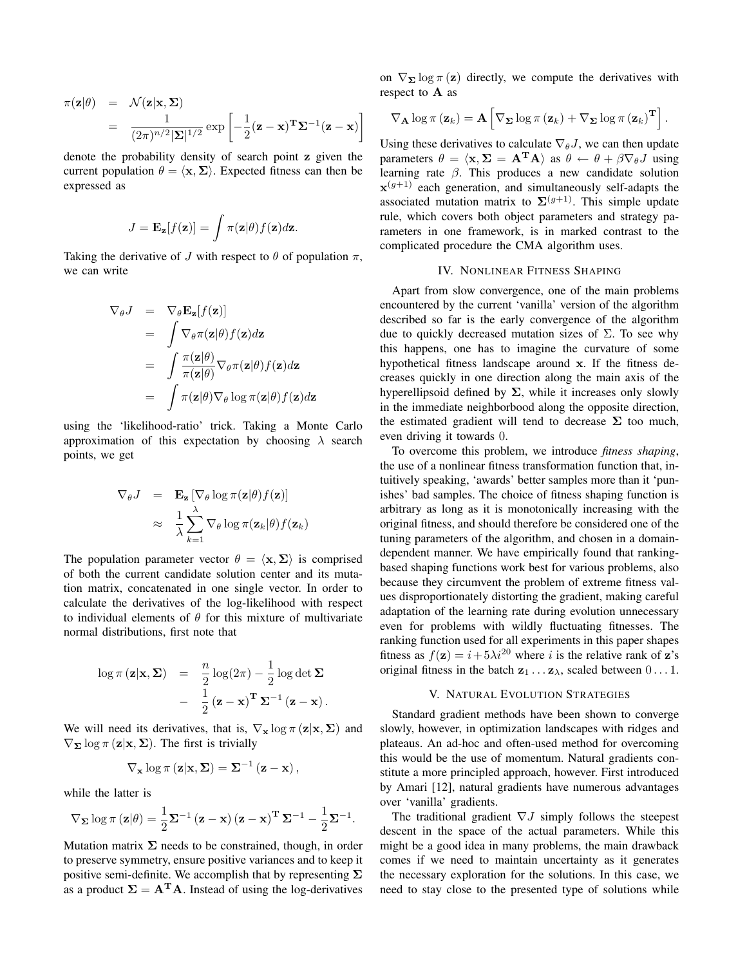$$
\pi(\mathbf{z}|\theta) = \mathcal{N}(\mathbf{z}|\mathbf{x}, \Sigma)
$$
  
=  $\frac{1}{(2\pi)^{n/2}|\Sigma|^{1/2}} \exp \left[-\frac{1}{2}(\mathbf{z} - \mathbf{x})^{\mathrm{T}}\Sigma^{-1}(\mathbf{z} - \mathbf{x})\right]$ 

denote the probability density of search point z given the current population  $\theta = \langle \mathbf{x}, \boldsymbol{\Sigma} \rangle$ . Expected fitness can then be expressed as

$$
J = \mathbf{E}_{\mathbf{z}}[f(\mathbf{z})] = \int \pi(\mathbf{z}|\theta) f(\mathbf{z}) d\mathbf{z}.
$$

Taking the derivative of J with respect to  $\theta$  of population  $\pi$ , we can write

$$
\nabla_{\theta}J = \nabla_{\theta} \mathbf{E}_{\mathbf{z}}[f(\mathbf{z})]
$$
  
\n
$$
= \int \nabla_{\theta} \pi(\mathbf{z}|\theta) f(\mathbf{z}) d\mathbf{z}
$$
  
\n
$$
= \int \frac{\pi(\mathbf{z}|\theta)}{\pi(\mathbf{z}|\theta)} \nabla_{\theta} \pi(\mathbf{z}|\theta) f(\mathbf{z}) d\mathbf{z}
$$
  
\n
$$
= \int \pi(\mathbf{z}|\theta) \nabla_{\theta} \log \pi(\mathbf{z}|\theta) f(\mathbf{z}) d\mathbf{z}
$$

using the 'likelihood-ratio' trick. Taking a Monte Carlo approximation of this expectation by choosing  $\lambda$  search points, we get

$$
\nabla_{\theta} J = \mathbf{E}_{\mathbf{z}} \left[ \nabla_{\theta} \log \pi(\mathbf{z} | \theta) f(\mathbf{z}) \right]
$$

$$
\approx \frac{1}{\lambda} \sum_{k=1}^{\lambda} \nabla_{\theta} \log \pi(\mathbf{z}_k | \theta) f(\mathbf{z}_k)
$$

The population parameter vector  $\theta = \langle \mathbf{x}, \boldsymbol{\Sigma} \rangle$  is comprised of both the current candidate solution center and its mutation matrix, concatenated in one single vector. In order to calculate the derivatives of the log-likelihood with respect to individual elements of  $\theta$  for this mixture of multivariate normal distributions, first note that

$$
\log \pi (\mathbf{z}|\mathbf{x}, \mathbf{\Sigma}) = \frac{n}{2} \log(2\pi) - \frac{1}{2} \log \det \mathbf{\Sigma}
$$

$$
- \frac{1}{2} (\mathbf{z} - \mathbf{x})^{\mathrm{T}} \mathbf{\Sigma}^{-1} (\mathbf{z} - \mathbf{x}).
$$

We will need its derivatives, that is,  $\nabla_{\mathbf{x}} \log \pi(\mathbf{z}|\mathbf{x}, \Sigma)$  and  $\nabla_{\Sigma} \log \pi(\mathbf{z}|\mathbf{x}, \Sigma)$ . The first is trivially

$$
\nabla_{\mathbf{x}} \log \pi(\mathbf{z}|\mathbf{x}, \boldsymbol{\Sigma}) = \boldsymbol{\Sigma}^{-1}(\mathbf{z} - \mathbf{x}),
$$

while the latter is

$$
\nabla_{\Sigma} \log \pi (\mathbf{z}|\theta) = \frac{1}{2} \Sigma^{-1} (\mathbf{z} - \mathbf{x}) (\mathbf{z} - \mathbf{x})^{\mathrm{T}} \Sigma^{-1} - \frac{1}{2} \Sigma^{-1}.
$$

Mutation matrix  $\Sigma$  needs to be constrained, though, in order to preserve symmetry, ensure positive variances and to keep it positive semi-definite. We accomplish that by representing  $\Sigma$ as a product  $\Sigma = A^T A$ . Instead of using the log-derivatives

on  $\nabla_{\Sigma} \log \pi(z)$  directly, we compute the derivatives with respect to A as

$$
\nabla_{\mathbf{A}} \log \pi \left( \mathbf{z}_k \right) = \mathbf{A} \left[ \nabla_{\mathbf{\Sigma}} \log \pi \left( \mathbf{z}_k \right) + \nabla_{\mathbf{\Sigma}} \log \pi \left( \mathbf{z}_k \right)^{\mathbf{T}} \right].
$$

Using these derivatives to calculate  $\nabla_{\theta} J$ , we can then update parameters  $\theta = \langle \mathbf{x}, \boldsymbol{\Sigma} = \mathbf{A}^{\mathbf{T}} \mathbf{A} \rangle$  as  $\theta \leftarrow \theta + \beta \nabla_{\theta} J$  using learning rate  $\beta$ . This produces a new candidate solution  $\mathbf{x}^{(g+1)}$  each generation, and simultaneously self-adapts the associated mutation matrix to  $\Sigma^{(g+1)}$ . This simple update rule, which covers both object parameters and strategy parameters in one framework, is in marked contrast to the complicated procedure the CMA algorithm uses.

### IV. NONLINEAR FITNESS SHAPING

Apart from slow convergence, one of the main problems encountered by the current 'vanilla' version of the algorithm described so far is the early convergence of the algorithm due to quickly decreased mutation sizes of  $\Sigma$ . To see why this happens, one has to imagine the curvature of some hypothetical fitness landscape around x. If the fitness decreases quickly in one direction along the main axis of the hyperellipsoid defined by  $\Sigma$ , while it increases only slowly in the immediate neighborbood along the opposite direction, the estimated gradient will tend to decrease  $\Sigma$  too much, even driving it towards 0.

To overcome this problem, we introduce *fitness shaping*, the use of a nonlinear fitness transformation function that, intuitively speaking, 'awards' better samples more than it 'punishes' bad samples. The choice of fitness shaping function is arbitrary as long as it is monotonically increasing with the original fitness, and should therefore be considered one of the tuning parameters of the algorithm, and chosen in a domaindependent manner. We have empirically found that rankingbased shaping functions work best for various problems, also because they circumvent the problem of extreme fitness values disproportionately distorting the gradient, making careful adaptation of the learning rate during evolution unnecessary even for problems with wildly fluctuating fitnesses. The ranking function used for all experiments in this paper shapes fitness as  $f(\mathbf{z}) = i + 5\lambda i^{20}$  where i is the relative rank of z's original fitness in the batch  $z_1 \dots z_{\lambda}$ , scaled between  $0 \dots 1$ .

#### V. NATURAL EVOLUTION STRATEGIES

Standard gradient methods have been shown to converge slowly, however, in optimization landscapes with ridges and plateaus. An ad-hoc and often-used method for overcoming this would be the use of momentum. Natural gradients constitute a more principled approach, however. First introduced by Amari [12], natural gradients have numerous advantages over 'vanilla' gradients.

The traditional gradient  $\nabla J$  simply follows the steepest descent in the space of the actual parameters. While this might be a good idea in many problems, the main drawback comes if we need to maintain uncertainty as it generates the necessary exploration for the solutions. In this case, we need to stay close to the presented type of solutions while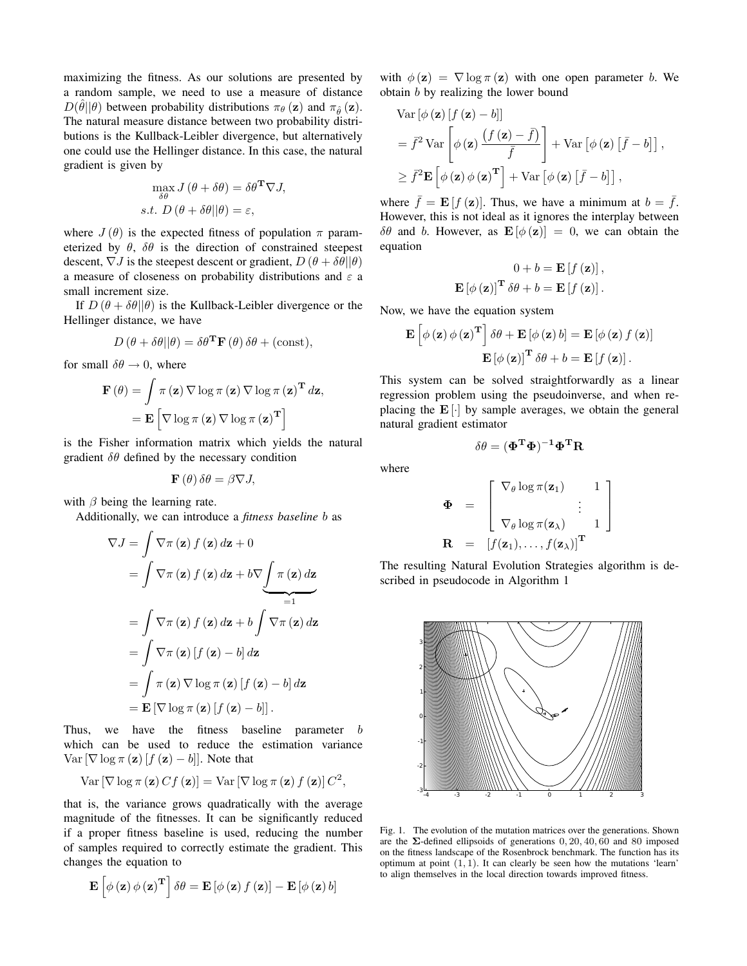maximizing the fitness. As our solutions are presented by a random sample, we need to use a measure of distance  $D(\hat{\theta}||\theta)$  between probability distributions  $\pi_{\theta}(\mathbf{z})$  and  $\pi_{\hat{\theta}}(\mathbf{z})$ . The natural measure distance between two probability distributions is the Kullback-Leibler divergence, but alternatively one could use the Hellinger distance. In this case, the natural gradient is given by

$$
\max_{\delta\theta} J(\theta + \delta\theta) = \delta\theta^{\mathbf{T}} \nabla J,
$$
  
s.t.  $D(\theta + \delta\theta || \theta) = \varepsilon$ ,

where  $J(\theta)$  is the expected fitness of population  $\pi$  parameterized by  $\theta$ ,  $\delta\theta$  is the direction of constrained steepest descent,  $\nabla J$  is the steepest descent or gradient,  $D(\theta + \delta \theta || \theta)$ a measure of closeness on probability distributions and  $\varepsilon$  a small increment size.

If  $D(\theta + \delta\theta||\theta)$  is the Kullback-Leibler divergence or the Hellinger distance, we have

$$
D(\theta + \delta\theta || \theta) = \delta\theta^{\mathbf{T}} \mathbf{F}(\theta) \delta\theta + (\text{const}),
$$

for small  $\delta\theta \rightarrow 0$ , where

$$
\mathbf{F}(\theta) = \int \pi(\mathbf{z}) \, \nabla \log \pi(\mathbf{z}) \, \nabla \log \pi(\mathbf{z})^{\mathbf{T}} \, d\mathbf{z},
$$

$$
= \mathbf{E} \left[ \nabla \log \pi(\mathbf{z}) \, \nabla \log \pi(\mathbf{z})^{\mathbf{T}} \right]
$$

is the Fisher information matrix which yields the natural gradient  $\delta\theta$  defined by the necessary condition

$$
\mathbf{F}(\theta)\,\delta\theta = \beta\nabla J,
$$

with  $\beta$  being the learning rate.

Additionally, we can introduce a *fitness baseline* b as

$$
\nabla J = \int \nabla \pi (\mathbf{z}) f(\mathbf{z}) d\mathbf{z} + 0
$$
  
= 
$$
\int \nabla \pi (\mathbf{z}) f(\mathbf{z}) d\mathbf{z} + b \nabla \underbrace{\int \pi (\mathbf{z}) d\mathbf{z}}_{=1}
$$
  
= 
$$
\int \nabla \pi (\mathbf{z}) f(\mathbf{z}) d\mathbf{z} + b \int \nabla \pi (\mathbf{z}) d\mathbf{z}
$$
  
= 
$$
\int \nabla \pi (\mathbf{z}) [f(\mathbf{z}) - b] d\mathbf{z}
$$
  
= 
$$
\int \pi (\mathbf{z}) \nabla \log \pi (\mathbf{z}) [f(\mathbf{z}) - b] d\mathbf{z}
$$
  
= 
$$
\mathbf{E} [\nabla \log \pi (\mathbf{z}) [f(\mathbf{z}) - b]].
$$

Thus, we have the fitness baseline parameter b which can be used to reduce the estimation variance Var  $[\nabla \log \pi(\mathbf{z}) [f(\mathbf{z}) - b]]$ . Note that

$$
\text{Var}\left[\nabla \log \pi\left(\mathbf{z}\right)C f\left(\mathbf{z}\right)\right] = \text{Var}\left[\nabla \log \pi\left(\mathbf{z}\right) f\left(\mathbf{z}\right)\right] C^2,
$$

that is, the variance grows quadratically with the average magnitude of the fitnesses. It can be significantly reduced if a proper fitness baseline is used, reducing the number of samples required to correctly estimate the gradient. This changes the equation to

$$
\mathbf{E}\left[\phi\left(\mathbf{z}\right)\phi\left(\mathbf{z}\right)^{\mathrm{T}}\right]\delta\theta=\mathbf{E}\left[\phi\left(\mathbf{z}\right)f\left(\mathbf{z}\right)\right]-\mathbf{E}\left[\phi\left(\mathbf{z}\right)b\right]
$$

with  $\phi(\mathbf{z}) = \nabla \log \pi(\mathbf{z})$  with one open parameter b. We obtain b by realizing the lower bound

$$
\operatorname{Var} [\phi (\mathbf{z}) [f (\mathbf{z}) - b]]
$$
  
=  $\bar{f}^2 \operatorname{Var} \left[ \phi (\mathbf{z}) \frac{(f (\mathbf{z}) - \bar{f})}{\bar{f}} \right] + \operatorname{Var} [\phi (\mathbf{z}) [\bar{f} - b]]$ ,  
 $\geq \bar{f}^2 \mathbf{E} [\phi (\mathbf{z}) \phi (\mathbf{z})^T] + \operatorname{Var} [\phi (\mathbf{z}) [\bar{f} - b]]$ ,

where  $\bar{f} = \mathbf{E} [f(\mathbf{z})]$ . Thus, we have a minimum at  $b = \bar{f}$ . However, this is not ideal as it ignores the interplay between  $\delta\theta$  and b. However, as  $\mathbf{E}[\phi(\mathbf{z})] = 0$ , we can obtain the equation

$$
0 + b = \mathbf{E}[f(\mathbf{z})],
$$

$$
\mathbf{E}[\phi(\mathbf{z})]^{\mathbf{T}} \delta \theta + b = \mathbf{E}[f(\mathbf{z})].
$$

Now, we have the equation system

$$
\mathbf{E}\left[\phi\left(\mathbf{z}\right)\phi\left(\mathbf{z}\right)^{\mathbf{T}}\right]\delta\theta + \mathbf{E}\left[\phi\left(\mathbf{z}\right)b\right] = \mathbf{E}\left[\phi\left(\mathbf{z}\right)f\left(\mathbf{z}\right)\right]
$$

$$
\mathbf{E}\left[\phi\left(\mathbf{z}\right)\right]^{\mathbf{T}}\delta\theta + b = \mathbf{E}\left[f\left(\mathbf{z}\right)\right].
$$

This system can be solved straightforwardly as a linear regression problem using the pseudoinverse, and when replacing the  $\mathbf{E}[\cdot]$  by sample averages, we obtain the general natural gradient estimator

$$
\delta \theta = (\mathbf{\Phi}^\mathbf{T} \mathbf{\Phi})^{-1} \mathbf{\Phi}^\mathbf{T} \mathbf{R}
$$

where

$$
\mathbf{\Phi} = \begin{bmatrix} \nabla_{\theta} \log \pi(\mathbf{z}_1) & 1 \\ \nabla_{\theta} \log \pi(\mathbf{z}_\lambda) & 1 \end{bmatrix}
$$

$$
\mathbf{R} = [f(\mathbf{z}_1), \dots, f(\mathbf{z}_\lambda)]^{\mathrm{T}}
$$

The resulting Natural Evolution Strategies algorithm is described in pseudocode in Algorithm 1



Fig. 1. The evolution of the mutation matrices over the generations. Shown are the  $\Sigma$ -defined ellipsoids of generations 0, 20, 40, 60 and 80 imposed on the fitness landscape of the Rosenbrock benchmark. The function has its optimum at point  $(1, 1)$ . It can clearly be seen how the mutations 'learn' to align themselves in the local direction towards improved fitness.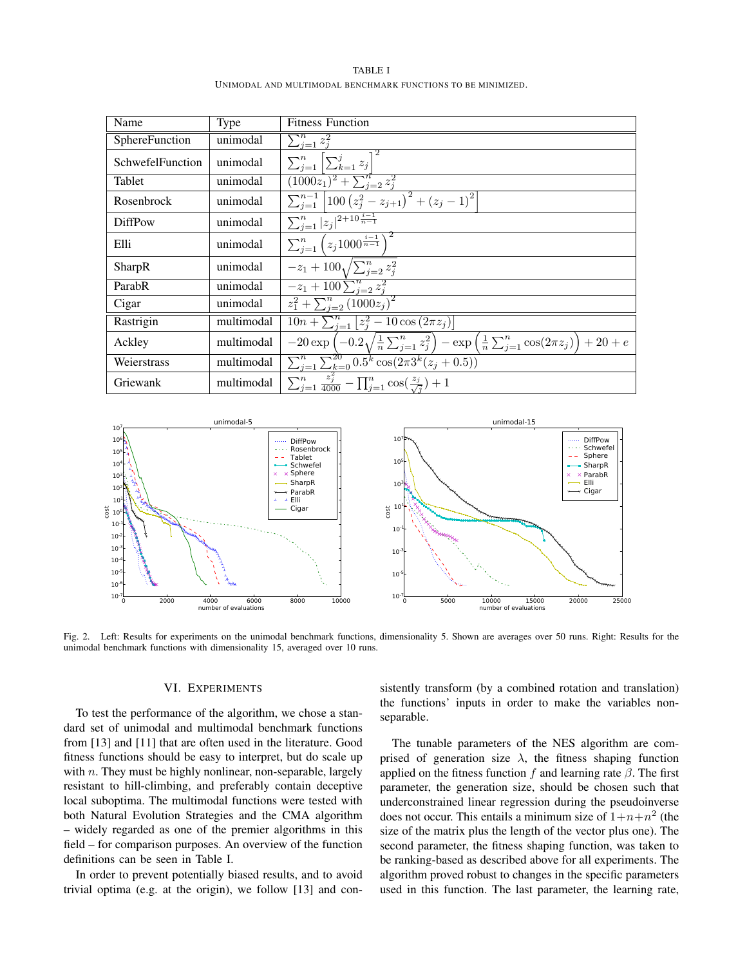| TABLE I                                                      |
|--------------------------------------------------------------|
| UNIMODAL AND MULTIMODAL BENCHMARK FUNCTIONS TO BE MINIMIZED. |

| Name                  | Type       | <b>Fitness Function</b>                                                                                                                                                                                                                                                                                                                                |
|-----------------------|------------|--------------------------------------------------------------------------------------------------------------------------------------------------------------------------------------------------------------------------------------------------------------------------------------------------------------------------------------------------------|
| <b>SphereFunction</b> | unimodal   | $\sum_{j=1}^n z_j^2$                                                                                                                                                                                                                                                                                                                                   |
| SchwefelFunction      | unimodal   | $\frac{\sum_{j=1}^{n} \left[\sum_{k=1}^{j} z_{j}\right]^{2}}{(1000z_{1})^{2} + \sum_{j=2}^{n} z_{j}^{2}}$<br>$\frac{\sum_{j=1}^{n-1} \left[100\left(z_{j}^{2}-z_{j+1}\right)^{2} + \left(z_{j}-1\right)^{2}\right]}{100z_{1}z_{2}z_{3}z_{4}z_{5}z_{6}z_{7}}$                                                                                           |
| Tablet                | unimodal   |                                                                                                                                                                                                                                                                                                                                                        |
| Rosenbrock            | unimodal   |                                                                                                                                                                                                                                                                                                                                                        |
| <b>DiffPow</b>        | unimodal   | $\sum_{j=1}^n  z_j ^{2+10\frac{i-1}{n-1}}$                                                                                                                                                                                                                                                                                                             |
| Elli                  | unimodal   | $\sum_{j=1}^{n} \left( z_j 1000^{\frac{i-1}{n-1}} \right)^2$                                                                                                                                                                                                                                                                                           |
| SharpR                | unimodal   | $\frac{-z_1 + 100\sqrt{\sum_{j=2}^{n} z_j^2}}{-z_1 + 100\sqrt{\sum_{j=2}^{n} z_j^2}}$<br>$\frac{-z_1 + 100\sqrt{\sum_{j=2}^{n} z_j^2}}{z_1^2 + \sum_{j=2}^{n} (1000z_j)^2}$                                                                                                                                                                            |
| ParabR                | unimodal   |                                                                                                                                                                                                                                                                                                                                                        |
| Cigar                 | unimodal   |                                                                                                                                                                                                                                                                                                                                                        |
| Rastrigin             | multimodal | $\boxed{ \overline{10n + \sum_{j=1}^{n} \left[ z_j^2 - 10 \cos \left( 2 \pi z_j \right) \right] } }$                                                                                                                                                                                                                                                   |
| Ackley                | multimodal | $\begin{array}{ l } \hline -20 \exp \left(-0.2 \sqrt{\frac{1}{n}\sum_{j=1}^n z_j^2}\right) - \exp \left(\frac{1}{n}\sum_{j=1}^n \cos (2\pi z_j)\right) + 20 + e\\ \hline \sum_{j=1}^n \sum_{k=0}^{20} 0.5^k \cos (2\pi 3^k (z_j + 0.5))\\ \hline \sum_{j=1}^n \frac{z_j^2}{4000} - \prod_{j=1}^n \cos (\frac{z_j}{\sqrt{j}}) + 1\\ \hline \end{array}$ |
| Weierstrass           | multimodal |                                                                                                                                                                                                                                                                                                                                                        |
| Griewank              | multimodal |                                                                                                                                                                                                                                                                                                                                                        |



Fig. 2. Left: Results for experiments on the unimodal benchmark functions, dimensionality 5. Shown are averages over 50 runs. Right: Results for the unimodal benchmark functions with dimensionality 15, averaged over 10 runs.

#### VI. EXPERIMENTS

To test the performance of the algorithm, we chose a standard set of unimodal and multimodal benchmark functions from [13] and [11] that are often used in the literature. Good fitness functions should be easy to interpret, but do scale up with  $n$ . They must be highly nonlinear, non-separable, largely resistant to hill-climbing, and preferably contain deceptive local suboptima. The multimodal functions were tested with both Natural Evolution Strategies and the CMA algorithm – widely regarded as one of the premier algorithms in this field – for comparison purposes. An overview of the function definitions can be seen in Table I.

In order to prevent potentially biased results, and to avoid trivial optima (e.g. at the origin), we follow [13] and consistently transform (by a combined rotation and translation) the functions' inputs in order to make the variables nonseparable.

The tunable parameters of the NES algorithm are comprised of generation size  $\lambda$ , the fitness shaping function applied on the fitness function f and learning rate  $\beta$ . The first parameter, the generation size, should be chosen such that underconstrained linear regression during the pseudoinverse does not occur. This entails a minimum size of  $1+n+n^2$  (the size of the matrix plus the length of the vector plus one). The second parameter, the fitness shaping function, was taken to be ranking-based as described above for all experiments. The algorithm proved robust to changes in the specific parameters used in this function. The last parameter, the learning rate,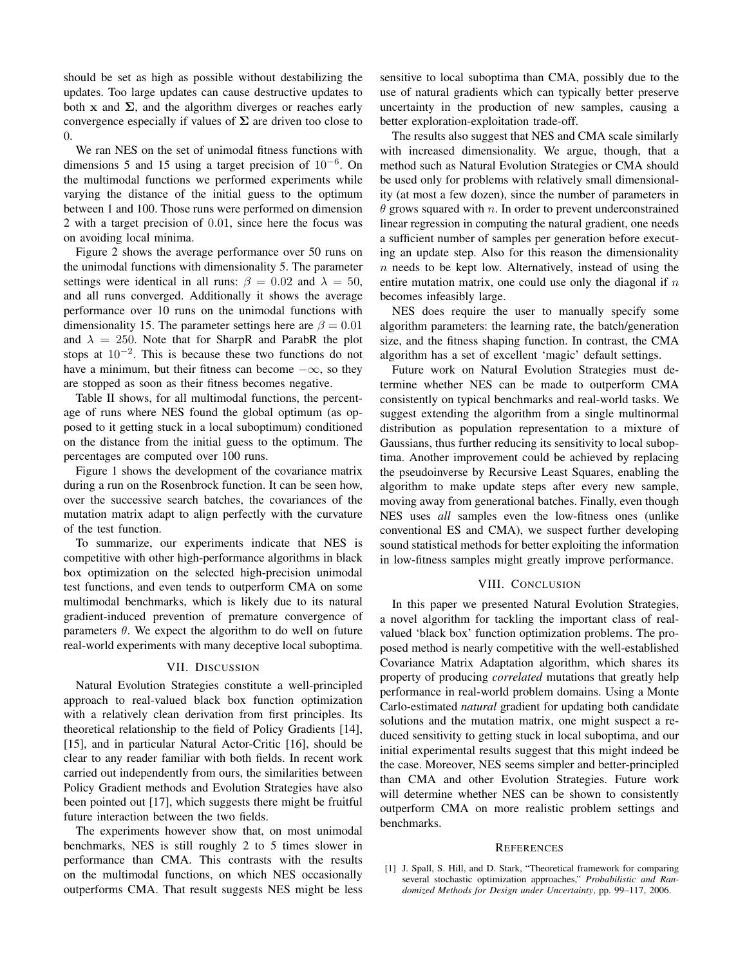should be set as high as possible without destabilizing the updates. Too large updates can cause destructive updates to both x and  $\Sigma$ , and the algorithm diverges or reaches early convergence especially if values of  $\Sigma$  are driven too close to 0.

We ran NES on the set of unimodal fitness functions with dimensions 5 and 15 using a target precision of  $10^{-6}$ . On the multimodal functions we performed experiments while varying the distance of the initial guess to the optimum between 1 and 100. Those runs were performed on dimension 2 with a target precision of 0.01, since here the focus was on avoiding local minima.

Figure 2 shows the average performance over 50 runs on the unimodal functions with dimensionality 5. The parameter settings were identical in all runs:  $\beta = 0.02$  and  $\lambda = 50$ , and all runs converged. Additionally it shows the average performance over 10 runs on the unimodal functions with dimensionality 15. The parameter settings here are  $\beta = 0.01$ and  $\lambda = 250$ . Note that for SharpR and ParabR the plot stops at  $10^{-2}$ . This is because these two functions do not have a minimum, but their fitness can become  $-\infty$ , so they are stopped as soon as their fitness becomes negative.

Table II shows, for all multimodal functions, the percentage of runs where NES found the global optimum (as opposed to it getting stuck in a local suboptimum) conditioned on the distance from the initial guess to the optimum. The percentages are computed over 100 runs.

Figure 1 shows the development of the covariance matrix during a run on the Rosenbrock function. It can be seen how, over the successive search batches, the covariances of the mutation matrix adapt to align perfectly with the curvature of the test function.

To summarize, our experiments indicate that NES is competitive with other high-performance algorithms in black box optimization on the selected high-precision unimodal test functions, and even tends to outperform CMA on some multimodal benchmarks, which is likely due to its natural gradient-induced prevention of premature convergence of parameters  $\theta$ . We expect the algorithm to do well on future real-world experiments with many deceptive local suboptima.

## VII. DISCUSSION

Natural Evolution Strategies constitute a well-principled approach to real-valued black box function optimization with a relatively clean derivation from first principles. Its theoretical relationship to the field of Policy Gradients [14], [15], and in particular Natural Actor-Critic [16], should be clear to any reader familiar with both fields. In recent work carried out independently from ours, the similarities between Policy Gradient methods and Evolution Strategies have also been pointed out [17], which suggests there might be fruitful future interaction between the two fields.

The experiments however show that, on most unimodal benchmarks, NES is still roughly 2 to 5 times slower in performance than CMA. This contrasts with the results on the multimodal functions, on which NES occasionally outperforms CMA. That result suggests NES might be less

sensitive to local suboptima than CMA, possibly due to the use of natural gradients which can typically better preserve uncertainty in the production of new samples, causing a better exploration-exploitation trade-off.

The results also suggest that NES and CMA scale similarly with increased dimensionality. We argue, though, that a method such as Natural Evolution Strategies or CMA should be used only for problems with relatively small dimensionality (at most a few dozen), since the number of parameters in  $\theta$  grows squared with n. In order to prevent underconstrained linear regression in computing the natural gradient, one needs a sufficient number of samples per generation before executing an update step. Also for this reason the dimensionality  $n$  needs to be kept low. Alternatively, instead of using the entire mutation matrix, one could use only the diagonal if  $n$ becomes infeasibly large.

NES does require the user to manually specify some algorithm parameters: the learning rate, the batch/generation size, and the fitness shaping function. In contrast, the CMA algorithm has a set of excellent 'magic' default settings.

Future work on Natural Evolution Strategies must determine whether NES can be made to outperform CMA consistently on typical benchmarks and real-world tasks. We suggest extending the algorithm from a single multinormal distribution as population representation to a mixture of Gaussians, thus further reducing its sensitivity to local suboptima. Another improvement could be achieved by replacing the pseudoinverse by Recursive Least Squares, enabling the algorithm to make update steps after every new sample, moving away from generational batches. Finally, even though NES uses *all* samples even the low-fitness ones (unlike conventional ES and CMA), we suspect further developing sound statistical methods for better exploiting the information in low-fitness samples might greatly improve performance.

## VIII. CONCLUSION

In this paper we presented Natural Evolution Strategies, a novel algorithm for tackling the important class of realvalued 'black box' function optimization problems. The proposed method is nearly competitive with the well-established Covariance Matrix Adaptation algorithm, which shares its property of producing *correlated* mutations that greatly help performance in real-world problem domains. Using a Monte Carlo-estimated *natural* gradient for updating both candidate solutions and the mutation matrix, one might suspect a reduced sensitivity to getting stuck in local suboptima, and our initial experimental results suggest that this might indeed be the case. Moreover, NES seems simpler and better-principled than CMA and other Evolution Strategies. Future work will determine whether NES can be shown to consistently outperform CMA on more realistic problem settings and benchmarks.

#### **REFERENCES**

[1] J. Spall, S. Hill, and D. Stark, "Theoretical framework for comparing several stochastic optimization approaches," *Probabilistic and Randomized Methods for Design under Uncertainty*, pp. 99–117, 2006.